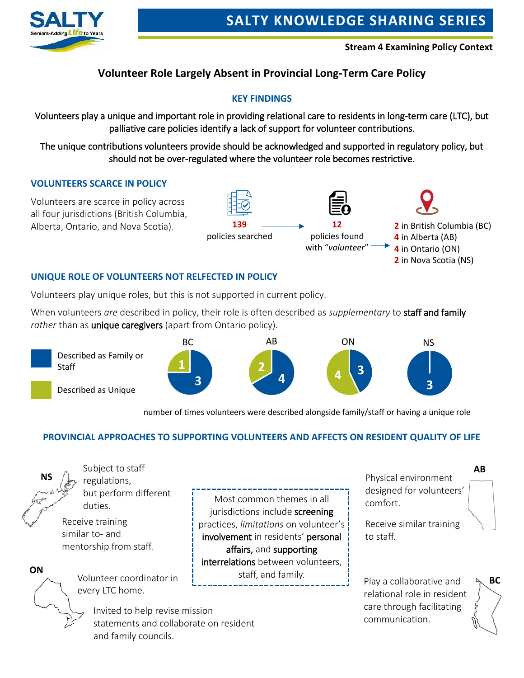

 **Stream 4 Examining Policy Context**

## **Volunteer Role Largely Absent in Provincial Long-Term Care Policy**

#### **KEY FINDINGS**

Volunteers play a unique and important role in providing relational care to residents in long-term care (LTC), but palliative care policies identify a lack of support for volunteer contributions.

The unique contributions volunteers provide should be acknowledged and supported in regulatory policy, but should not be over-regulated where the volunteer role becomes restrictive.

#### **VOLUNTEERS SCARCE IN POLICY**



#### **UNIQUE ROLE OF VOLUNTEERS NOT RELFECTED IN POLICY**

Volunteers play unique roles, but this is not supported in current policy.

When volunteers *are* described in policy, their role is often described as *supplementary* to staff and family rather than as *unique caregivers* (apart from Ontario policy).



number of times volunteers were described alongside family/staff or having a unique role

#### **PROVINCIAL APPROACHES TO SUPPORTING VOLUNTEERS AND AFFECTS ON RESIDENT QUALITY OF LIFE**



**ON**

Staff

Subject to staff regulations, but perform different duties.

Receive training similar to- and mentorship from staff.

Volunteer coordinator in every LTC home.

> Invited to help revise mission statements and collaborate on resident and family councils.

involvement in residents' personal affairs, and supporting interrelations between volunteers, staff, and family. Most common themes in all jurisdictions include screening practices, *limitations* on volunteer's

j

Physical environment designed for volunteers' comfort.

**AB**

Receive similar training to staff.

Play a collaborative and relational role in resident care through facilitating communication.